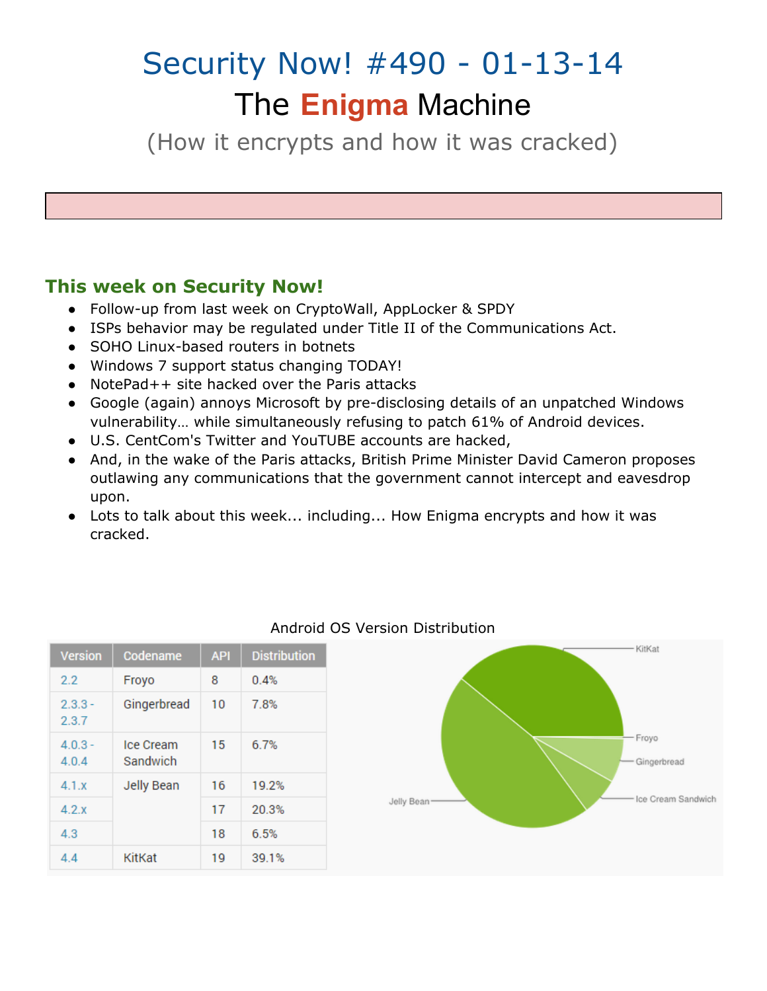# Security Now! #490 - 01-13-14 The **Enigma** Machine

(How it encrypts and how it was cracked)

### **This week on Security Now!**

- Follow-up from last week on CryptoWall, AppLocker & SPDY
- ISPs behavior may be regulated under Title II of the Communications Act.
- SOHO Linux-based routers in botnets
- Windows 7 support status changing TODAY!
- NotePad++ site hacked over the Paris attacks
- Google (again) annoys Microsoft by pre-disclosing details of an unpatched Windows vulnerability… while simultaneously refusing to patch 61% of Android devices.
- U.S. CentCom's Twitter and YouTUBE accounts are hacked,
- And, in the wake of the Paris attacks, British Prime Minister David Cameron proposes outlawing any communications that the government cannot intercept and eavesdrop upon.
- Lots to talk about this week... including... How Enigma encrypts and how it was cracked.

| <b>Version</b>     | Codename              | <b>API</b> | <b>Distribution</b> |
|--------------------|-----------------------|------------|---------------------|
| 2.2                | Froyo                 | 8          | 0.4%                |
| $2.3.3 -$<br>2.3.7 | Gingerbread           | 10         | 7.8%                |
| $4.0.3 -$<br>4.0.4 | Ice Cream<br>Sandwich | 15         | 6.7%                |
| 4.1.x              | <b>Jelly Bean</b>     | 16         | 19.2%               |
| 4.2x               |                       | 17         | 20.3%               |
| 4.3                |                       | 18         | 6.5%                |
| 4.4                | KitKat                | 19         | 39.1%               |

#### Android OS Version Distribution

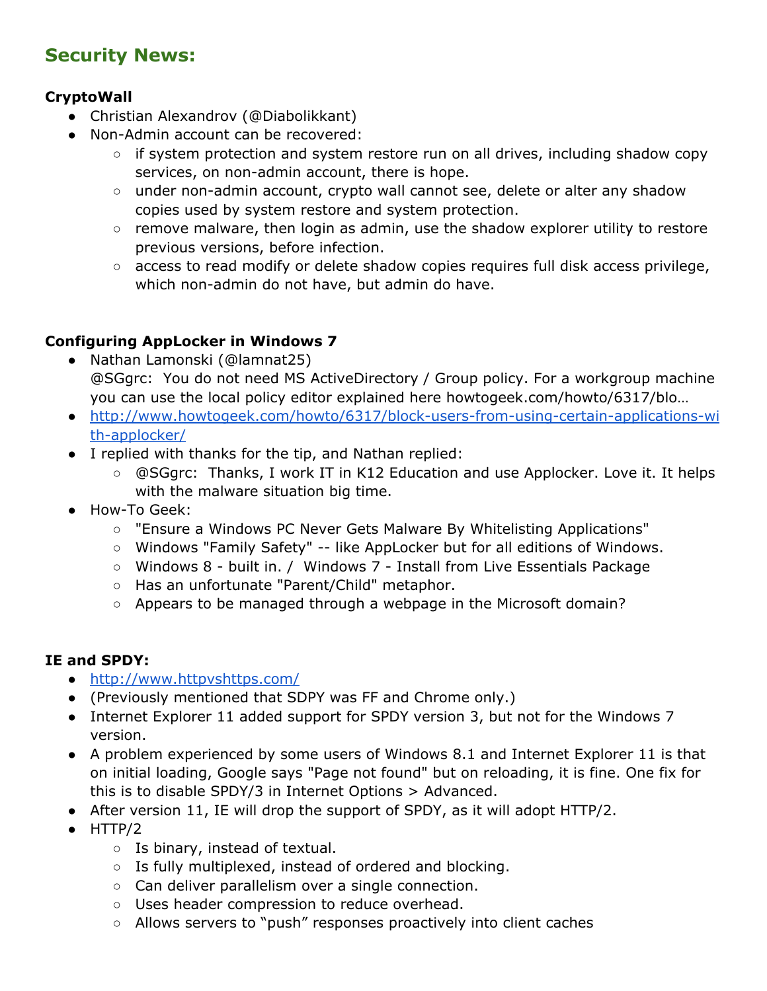## **Security News:**

#### **CryptoWall**

- Christian Alexandrov (@Diabolikkant)
- Non-Admin account can be recovered:
	- o if system protection and system restore run on all drives, including shadow copy services, on non-admin account, there is hope.
	- under non-admin account, crypto wall cannot see, delete or alter any shadow copies used by system restore and system protection.
	- remove malware, then login as admin, use the shadow explorer utility to restore previous versions, before infection.
	- access to read modify or delete shadow copies requires full disk access privilege, which non-admin do not have, but admin do have.

#### **Configuring AppLocker in Windows 7**

- Nathan Lamonski (@lamnat25) @SGgrc: You do not need MS ActiveDirectory / Group policy. For a workgroup machine you can use the local policy editor explained here howtogeek.com/howto/6317/blo…
- [http://www.howtogeek.com/howto/6317/block-users-from-using-certain-applications-wi](http://www.google.com/url?q=http%3A%2F%2Fwww.howtogeek.com%2Fhowto%2F6317%2Fblock-users-from-using-certain-applications-with-applocker%2F&sa=D&sntz=1&usg=AFQjCNHIq5GOPYajLfNd_vhtlixdHwfYwg) [th-applocker/](http://www.google.com/url?q=http%3A%2F%2Fwww.howtogeek.com%2Fhowto%2F6317%2Fblock-users-from-using-certain-applications-with-applocker%2F&sa=D&sntz=1&usg=AFQjCNHIq5GOPYajLfNd_vhtlixdHwfYwg)
- I replied with thanks for the tip, and Nathan replied:
	- @SGgrc: Thanks, I work IT in K12 Education and use Applocker. Love it. It helps with the malware situation big time.
- How-To Geek:
	- "Ensure a Windows PC Never Gets Malware By Whitelisting Applications"
	- Windows "Family Safety" -- like AppLocker but for all editions of Windows.
	- Windows 8 built in. / Windows 7 Install from Live Essentials Package
	- Has an unfortunate "Parent/Child" metaphor.
	- Appears to be managed through a webpage in the Microsoft domain?

#### **IE and SPDY:**

- [http://www.httpvshttps.com/](http://www.google.com/url?q=http%3A%2F%2Fwww.httpvshttps.com%2F&sa=D&sntz=1&usg=AFQjCNF70HM18pUxITfKRx83EfcMDjVcXQ)
- (Previously mentioned that SDPY was FF and Chrome only.)
- Internet Explorer 11 added support for SPDY version 3, but not for the Windows 7 version.
- A problem experienced by some users of Windows 8.1 and Internet Explorer 11 is that on initial loading, Google says "Page not found" but on reloading, it is fine. One fix for this is to disable SPDY/3 in Internet Options > Advanced.
- After version 11, IE will drop the support of SPDY, as it will adopt HTTP/2.
- HTTP/2
	- Is binary, instead of textual.
	- Is fully multiplexed, instead of ordered and blocking.
	- Can deliver parallelism over a single connection.
	- Uses header compression to reduce overhead.
	- Allows servers to "push" responses proactively into client caches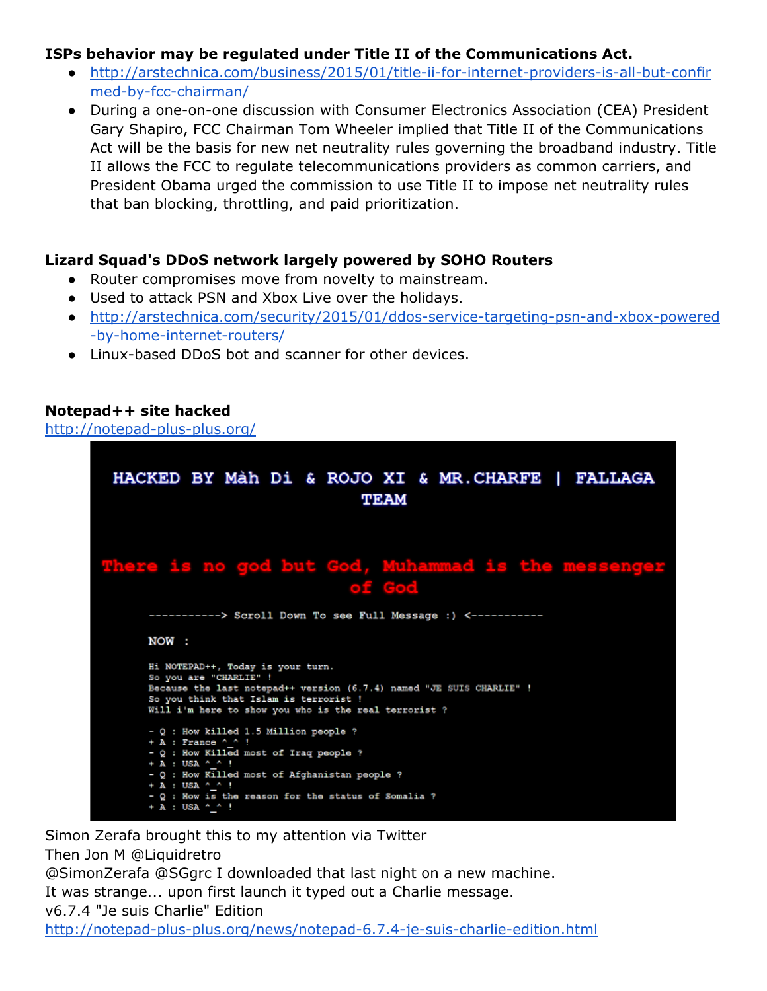#### **ISPs behavior may be regulated under Title II of the Communications Act.**

- [http://arstechnica.com/business/2015/01/title-ii-for-internet-providers-is-all-but-confir](http://www.google.com/url?q=http%3A%2F%2Farstechnica.com%2Fbusiness%2F2015%2F01%2Ftitle-ii-for-internet-providers-is-all-but-confirmed-by-fcc-chairman%2F&sa=D&sntz=1&usg=AFQjCNGDLvtANZbJST5e1gfoqYhDpKRyWw) [med-by-fcc-chairman/](http://www.google.com/url?q=http%3A%2F%2Farstechnica.com%2Fbusiness%2F2015%2F01%2Ftitle-ii-for-internet-providers-is-all-but-confirmed-by-fcc-chairman%2F&sa=D&sntz=1&usg=AFQjCNGDLvtANZbJST5e1gfoqYhDpKRyWw)
- During a one-on-one discussion with Consumer Electronics Association (CEA) President Gary Shapiro, FCC Chairman Tom Wheeler implied that Title II of the Communications Act will be the basis for new net neutrality rules governing the broadband industry. Title II allows the FCC to regulate telecommunications providers as common carriers, and President Obama urged the commission to use Title II to impose net neutrality rules that ban blocking, throttling, and paid prioritization.

#### **Lizard Squad's DDoS network largely powered by SOHO Routers**

- Router compromises move from novelty to mainstream.
- Used to attack PSN and Xbox Live over the holidays.
- [http://arstechnica.com/security/2015/01/ddos-service-targeting-psn-and-xbox-powered](http://www.google.com/url?q=http%3A%2F%2Farstechnica.com%2Fsecurity%2F2015%2F01%2Fddos-service-targeting-psn-and-xbox-powered-by-home-internet-routers%2F&sa=D&sntz=1&usg=AFQjCNHDfplpJz3GD7RFuu32d78938Cvcw) [-by-home-internet-routers/](http://www.google.com/url?q=http%3A%2F%2Farstechnica.com%2Fsecurity%2F2015%2F01%2Fddos-service-targeting-psn-and-xbox-powered-by-home-internet-routers%2F&sa=D&sntz=1&usg=AFQjCNHDfplpJz3GD7RFuu32d78938Cvcw)
- Linux-based DDoS bot and scanner for other devices.

#### **Notepad++ site hacked**

[http://notepad-plus-plus.org/](http://www.google.com/url?q=http%3A%2F%2Fnotepad-plus-plus.org%2F&sa=D&sntz=1&usg=AFQjCNFIZ0FKFBpTCl4RLaroVRpkTqoILw)



Simon Zerafa brought this to my attention via Twitter Then Jon M @Liquidretro @SimonZerafa @SGgrc I downloaded that last night on a new machine. It was strange... upon first launch it typed out a Charlie message. v6.7.4 "Je suis Charlie" Edition [http://notepad-plus-plus.org/news/notepad-6.7.4-je-suis-charlie-edition.html](http://www.google.com/url?q=http%3A%2F%2Fnotepad-plus-plus.org%2Fnews%2Fnotepad-6.7.4-je-suis-charlie-edition.html&sa=D&sntz=1&usg=AFQjCNEPPZELN0iP5tusnyvGZ1ko-b7joA)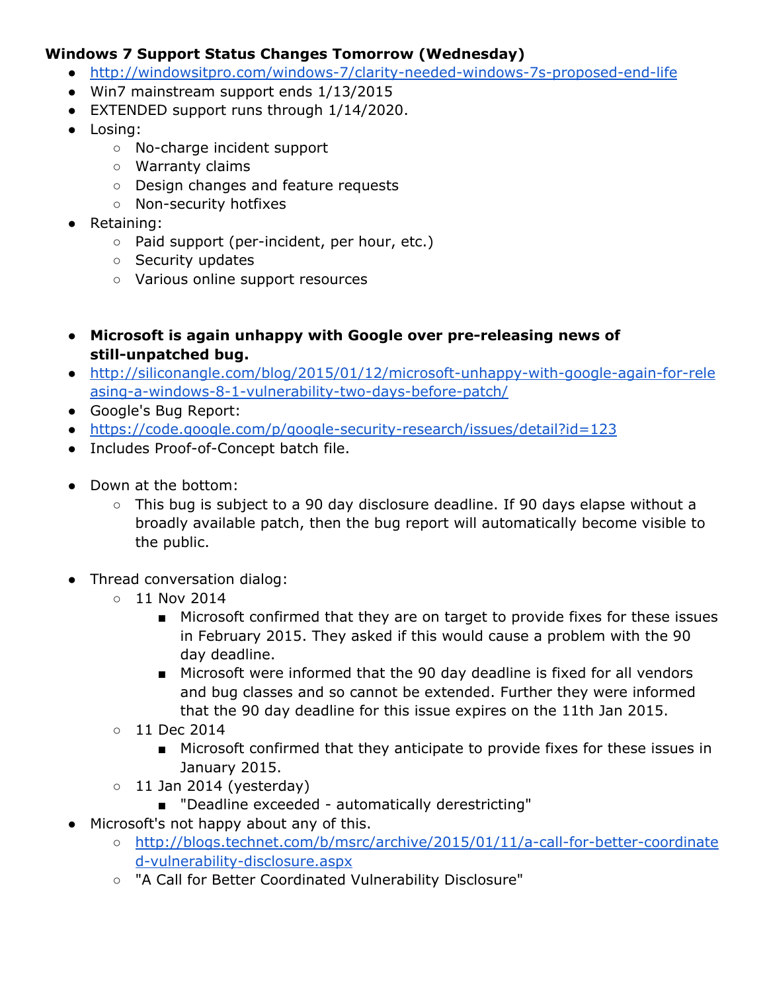#### **Windows 7 Support Status Changes Tomorrow (Wednesday)**

- [http://windowsitpro.com/windows-7/clarity-needed-windows-7s-proposed-end-life](http://www.google.com/url?q=http%3A%2F%2Fwindowsitpro.com%2Fwindows-7%2Fclarity-needed-windows-7s-proposed-end-life&sa=D&sntz=1&usg=AFQjCNGoP4qVJ8FRsW_vdaq9SgT6TFy4Bg)
- Win7 mainstream support ends 1/13/2015
- EXTENDED support runs through 1/14/2020.
- Losing:
	- No-charge incident support
	- Warranty claims
	- Design changes and feature requests
	- Non-security hotfixes
- Retaining:
	- Paid support (per-incident, per hour, etc.)
	- Security updates
	- Various online support resources
- **● Microsoft is again unhappy with Google over pre-releasing news of still-unpatched bug.**
- [http://siliconangle.com/blog/2015/01/12/microsoft-unhappy-with-google-again-for-rele](http://www.google.com/url?q=http%3A%2F%2Fsiliconangle.com%2Fblog%2F2015%2F01%2F12%2Fmicrosoft-unhappy-with-google-again-for-releasing-a-windows-8-1-vulnerability-two-days-before-patch%2F&sa=D&sntz=1&usg=AFQjCNH546Jy4W-P4fSDIMR8v3gFll5Oug) [asing-a-windows-8-1-vulnerability-two-days-before-patch/](http://www.google.com/url?q=http%3A%2F%2Fsiliconangle.com%2Fblog%2F2015%2F01%2F12%2Fmicrosoft-unhappy-with-google-again-for-releasing-a-windows-8-1-vulnerability-two-days-before-patch%2F&sa=D&sntz=1&usg=AFQjCNH546Jy4W-P4fSDIMR8v3gFll5Oug)
- Google's Bug Report:
- <https://code.google.com/p/google-security-research/issues/detail?id=123>
- Includes Proof-of-Concept batch file.
- Down at the bottom:
	- This bug is subject to a 90 day disclosure deadline. If 90 days elapse without a broadly available patch, then the bug report will automatically become visible to the public.
- Thread conversation dialog:
	- 11 Nov 2014
		- Microsoft confirmed that they are on target to provide fixes for these issues in February 2015. They asked if this would cause a problem with the 90 day deadline.
		- Microsoft were informed that the 90 day deadline is fixed for all vendors and bug classes and so cannot be extended. Further they were informed that the 90 day deadline for this issue expires on the 11th Jan 2015.
	- 11 Dec 2014
		- Microsoft confirmed that they anticipate to provide fixes for these issues in January 2015.
	- $\circ$  11 Jan 2014 (yesterday)
		- "Deadline exceeded automatically derestricting"
- Microsoft's not happy about any of this.
	- [http://blogs.technet.com/b/msrc/archive/2015/01/11/a-call-for-better-coordinate](http://www.google.com/url?q=http%3A%2F%2Fblogs.technet.com%2Fb%2Fmsrc%2Farchive%2F2015%2F01%2F11%2Fa-call-for-better-coordinated-vulnerability-disclosure.aspx&sa=D&sntz=1&usg=AFQjCNHcqxlTIGzDS2qCHWcY6PqeWWALoQ) [d-vulnerability-disclosure.aspx](http://www.google.com/url?q=http%3A%2F%2Fblogs.technet.com%2Fb%2Fmsrc%2Farchive%2F2015%2F01%2F11%2Fa-call-for-better-coordinated-vulnerability-disclosure.aspx&sa=D&sntz=1&usg=AFQjCNHcqxlTIGzDS2qCHWcY6PqeWWALoQ)
		- "A Call for Better Coordinated Vulnerability Disclosure"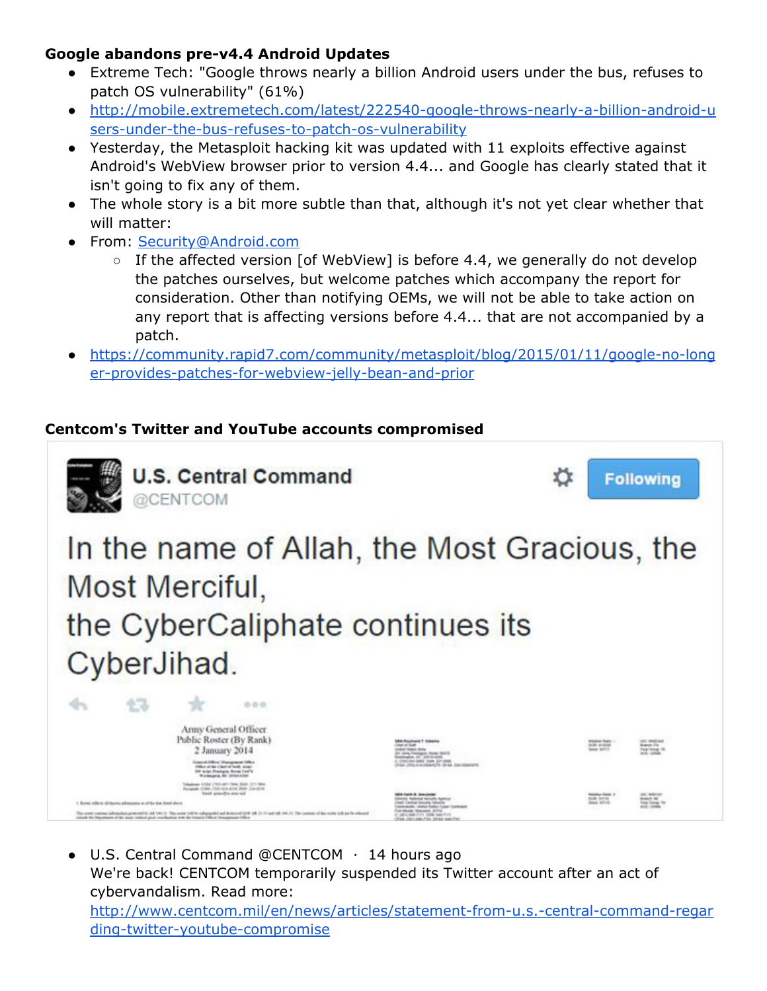#### **Google abandons pre-v4.4 Android Updates**

- Extreme Tech: "Google throws nearly a billion Android users under the bus, refuses to patch OS vulnerability" (61%)
- [http://mobile.extremetech.com/latest/222540-google-throws-nearly-a-billion-android-u](http://www.google.com/url?q=http%3A%2F%2Fmobile.extremetech.com%2Flatest%2F222540-google-throws-nearly-a-billion-android-users-under-the-bus-refuses-to-patch-os-vulnerability&sa=D&sntz=1&usg=AFQjCNHNYYH__h_4HDfuWvDlbl6RZxEkJQ) [sers-under-the-bus-refuses-to-patch-os-vulnerability](http://www.google.com/url?q=http%3A%2F%2Fmobile.extremetech.com%2Flatest%2F222540-google-throws-nearly-a-billion-android-users-under-the-bus-refuses-to-patch-os-vulnerability&sa=D&sntz=1&usg=AFQjCNHNYYH__h_4HDfuWvDlbl6RZxEkJQ)
- Yesterday, the Metasploit hacking kit was updated with 11 exploits effective against Android's WebView browser prior to version 4.4... and Google has clearly stated that it isn't going to fix any of them.
- The whole story is a bit more subtle than that, although it's not yet clear whether that will matter:
- From: [Security@Android.com](mailto:Security@Android.com)
	- $\circ$  If the affected version [of WebView] is before 4.4, we generally do not develop the patches ourselves, but welcome patches which accompany the report for consideration. Other than notifying OEMs, we will not be able to take action on any report that is affecting versions before 4.4... that are not accompanied by a patch.
- [https://community.rapid7.com/community/metasploit/blog/2015/01/11/google-no-long](https://www.google.com/url?q=https%3A%2F%2Fcommunity.rapid7.com%2Fcommunity%2Fmetasploit%2Fblog%2F2015%2F01%2F11%2Fgoogle-no-longer-provides-patches-for-webview-jelly-bean-and-prior&sa=D&sntz=1&usg=AFQjCNHJTLZIz08rojYipZ0RvkWjXLvPSg) [er-provides-patches-for-webview-jelly-bean-and-prior](https://www.google.com/url?q=https%3A%2F%2Fcommunity.rapid7.com%2Fcommunity%2Fmetasploit%2Fblog%2F2015%2F01%2F11%2Fgoogle-no-longer-provides-patches-for-webview-jelly-bean-and-prior&sa=D&sntz=1&usg=AFQjCNHJTLZIz08rojYipZ0RvkWjXLvPSg)

#### **Centcom's Twitter and YouTube accounts compromised**



● U.S. Central Command @CENTCOM · 14 hours ago We're back! CENTCOM temporarily suspended its Twitter account after an act of cybervandalism. Read more: [http://www.centcom.mil/en/news/articles/statement-from-u.s.-central-command-regar](http://www.google.com/url?q=http%3A%2F%2Fwww.centcom.mil%2Fen%2Fnews%2Farticles%2Fstatement-from-u.s.-central-command-regarding-twitter-youtube-compromise&sa=D&sntz=1&usg=AFQjCNFQwh3fbxXZpbZ9udC8F9SDdKyGJA) [ding-twitter-youtube-compromise](http://www.google.com/url?q=http%3A%2F%2Fwww.centcom.mil%2Fen%2Fnews%2Farticles%2Fstatement-from-u.s.-central-command-regarding-twitter-youtube-compromise&sa=D&sntz=1&usg=AFQjCNFQwh3fbxXZpbZ9udC8F9SDdKyGJA)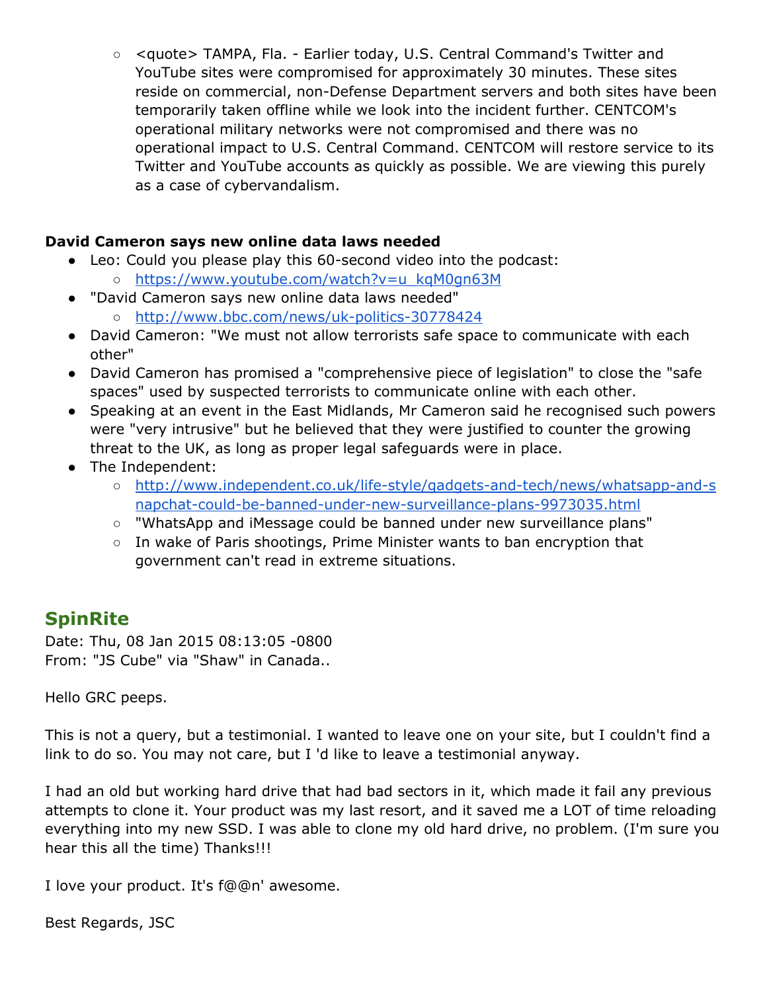○ <quote> TAMPA, Fla. - Earlier today, U.S. Central Command's Twitter and YouTube sites were compromised for approximately 30 minutes. These sites reside on commercial, non-Defense Department servers and both sites have been temporarily taken offline while we look into the incident further. CENTCOM's operational military networks were not compromised and there was no operational impact to U.S. Central Command. CENTCOM will restore service to its Twitter and YouTube accounts as quickly as possible. We are viewing this purely as a case of cybervandalism.

#### **David Cameron says new online data laws needed**

- Leo: Could you please play this 60-second video into the podcast:
	- [https://www.youtube.com/watch?v=u\\_kqM0gn63M](https://www.youtube.com/watch?v=u_kqM0gn63M)
- "David Cameron says new online data laws needed"
	- [http://www.bbc.com/news/uk-politics-30778424](http://www.google.com/url?q=http%3A%2F%2Fwww.bbc.com%2Fnews%2Fuk-politics-30778424&sa=D&sntz=1&usg=AFQjCNHe9GzA7ToWF9vLrI9yB97tplU3BA)
- David Cameron: "We must not allow terrorists safe space to communicate with each other"
- David Cameron has promised a "comprehensive piece of legislation" to close the "safe spaces" used by suspected terrorists to communicate online with each other.
- Speaking at an event in the East Midlands, Mr Cameron said he recognised such powers were "very intrusive" but he believed that they were justified to counter the growing threat to the UK, as long as proper legal safeguards were in place.
- The Independent:
	- [http://www.independent.co.uk/life-style/gadgets-and-tech/news/whatsapp-and-s](http://www.google.com/url?q=http%3A%2F%2Fwww.independent.co.uk%2Flife-style%2Fgadgets-and-tech%2Fnews%2Fwhatsapp-and-snapchat-could-be-banned-under-new-surveillance-plans-9973035.html&sa=D&sntz=1&usg=AFQjCNGOVGLXoPZt20SNjStEVCvF1vFEQg) [napchat-could-be-banned-under-new-surveillance-plans-9973035.html](http://www.google.com/url?q=http%3A%2F%2Fwww.independent.co.uk%2Flife-style%2Fgadgets-and-tech%2Fnews%2Fwhatsapp-and-snapchat-could-be-banned-under-new-surveillance-plans-9973035.html&sa=D&sntz=1&usg=AFQjCNGOVGLXoPZt20SNjStEVCvF1vFEQg)
	- "WhatsApp and iMessage could be banned under new surveillance plans"
	- In wake of Paris shootings, Prime Minister wants to ban encryption that government can't read in extreme situations.

### **SpinRite**

Date: Thu, 08 Jan 2015 08:13:05 -0800 From: "JS Cube" via "Shaw" in Canada..

Hello GRC peeps.

This is not a query, but a testimonial. I wanted to leave one on your site, but I couldn't find a link to do so. You may not care, but I 'd like to leave a testimonial anyway.

I had an old but working hard drive that had bad sectors in it, which made it fail any previous attempts to clone it. Your product was my last resort, and it saved me a LOT of time reloading everything into my new SSD. I was able to clone my old hard drive, no problem. (I'm sure you hear this all the time) Thanks!!!

I love your product. It's f@@n' awesome.

Best Regards, JSC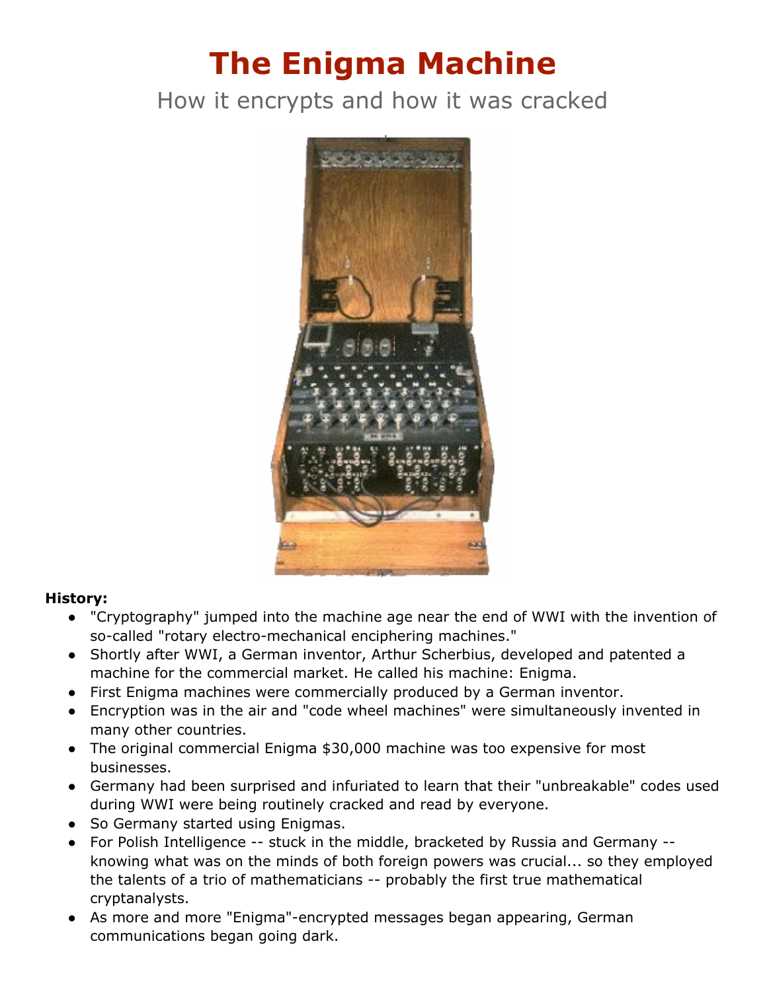# **The Enigma Machine**

# How it encrypts and how it was cracked



#### **History:**

- "Cryptography" jumped into the machine age near the end of WWI with the invention of so-called "rotary electro-mechanical enciphering machines."
- Shortly after WWI, a German inventor, Arthur Scherbius, developed and patented a machine for the commercial market. He called his machine: Enigma.
- First Enigma machines were commercially produced by a German inventor.
- Encryption was in the air and "code wheel machines" were simultaneously invented in many other countries.
- The original commercial Enigma \$30,000 machine was too expensive for most businesses.
- Germany had been surprised and infuriated to learn that their "unbreakable" codes used during WWI were being routinely cracked and read by everyone.
- So Germany started using Enigmas.
- For Polish Intelligence -- stuck in the middle, bracketed by Russia and Germany knowing what was on the minds of both foreign powers was crucial... so they employed the talents of a trio of mathematicians -- probably the first true mathematical cryptanalysts.
- As more and more "Enigma"-encrypted messages began appearing, German communications began going dark.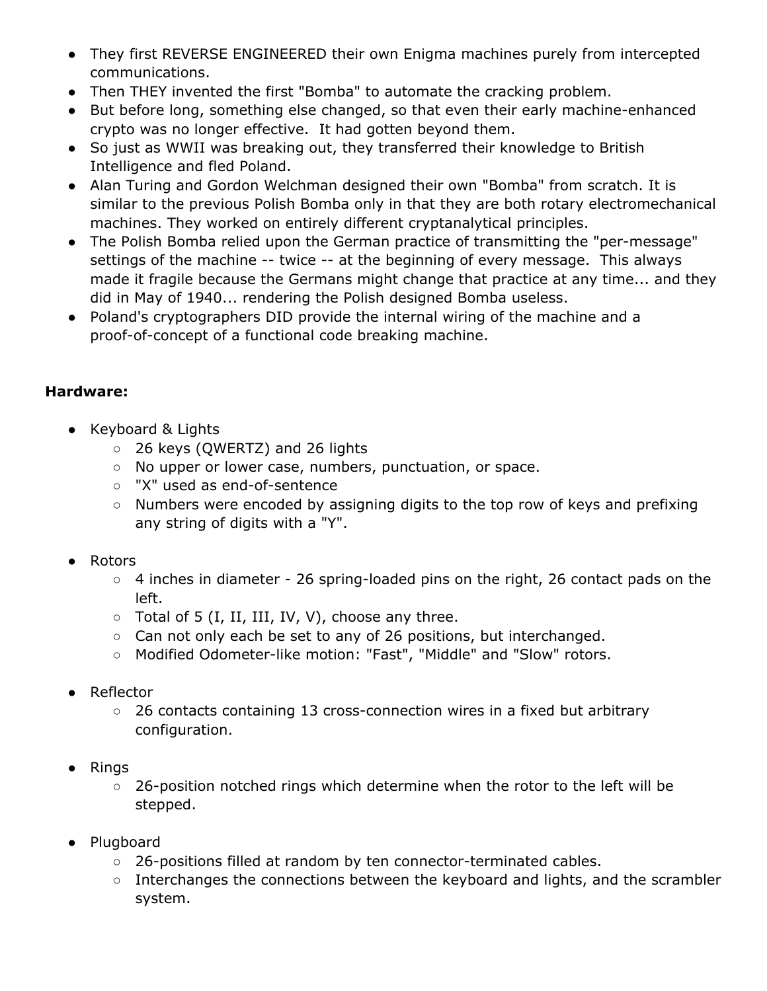- They first REVERSE ENGINEERED their own Enigma machines purely from intercepted communications.
- Then THEY invented the first "Bomba" to automate the cracking problem.
- But before long, something else changed, so that even their early machine-enhanced crypto was no longer effective. It had gotten beyond them.
- So just as WWII was breaking out, they transferred their knowledge to British Intelligence and fled Poland.
- Alan Turing and Gordon Welchman designed their own "Bomba" from scratch. It is similar to the previous Polish Bomba only in that they are both rotary electromechanical machines. They worked on entirely different cryptanalytical principles.
- The Polish Bomba relied upon the German practice of transmitting the "per-message" settings of the machine -- twice -- at the beginning of every message. This always made it fragile because the Germans might change that practice at any time... and they did in May of 1940... rendering the Polish designed Bomba useless.
- Poland's cryptographers DID provide the internal wiring of the machine and a proof-of-concept of a functional code breaking machine.

#### **Hardware:**

- Keyboard & Lights
	- 26 keys (QWERTZ) and 26 lights
	- No upper or lower case, numbers, punctuation, or space.
	- "X" used as end-of-sentence
	- Numbers were encoded by assigning digits to the top row of keys and prefixing any string of digits with a "Y".
- Rotors
	- 4 inches in diameter 26 spring-loaded pins on the right, 26 contact pads on the left.
	- $\circ$  Total of 5 (I, II, III, IV, V), choose any three.
	- Can not only each be set to any of 26 positions, but interchanged.
	- Modified Odometer-like motion: "Fast", "Middle" and "Slow" rotors.
- Reflector
	- 26 contacts containing 13 cross-connection wires in a fixed but arbitrary configuration.
- Rings
	- 26-position notched rings which determine when the rotor to the left will be stepped.
- Plugboard
	- 26-positions filled at random by ten connector-terminated cables.
	- Interchanges the connections between the keyboard and lights, and the scrambler system.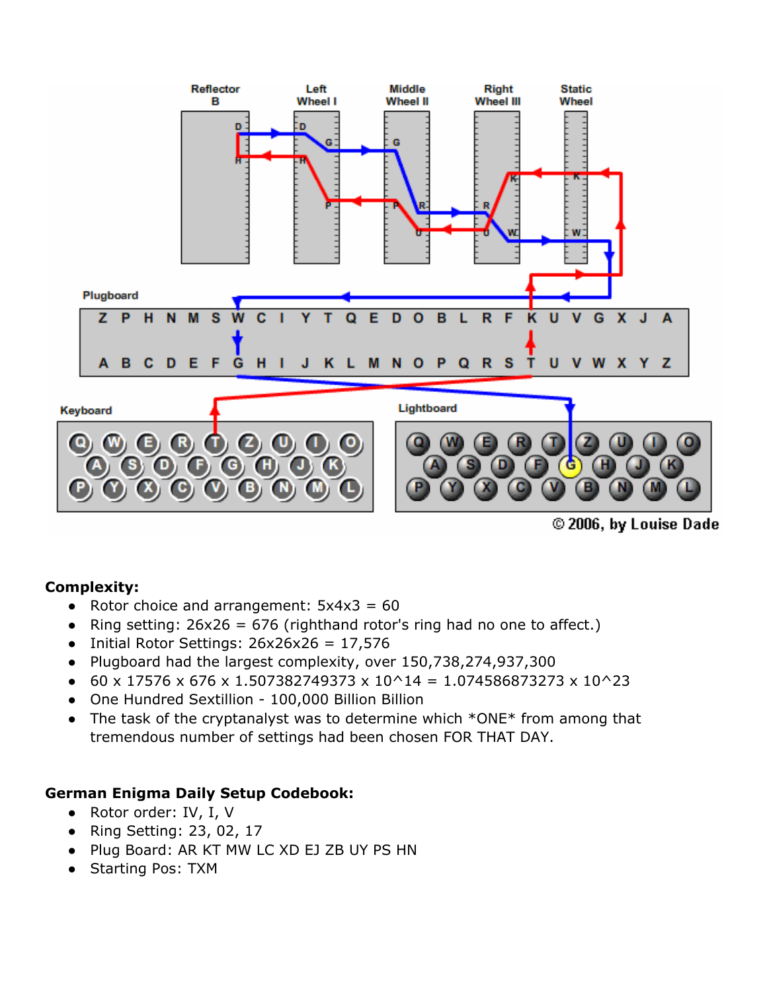

© 2006, by Louise Dade

#### **Complexity:**

- Rotor choice and arrangement:  $5x4x3 = 60$
- Ring setting:  $26x26 = 676$  (righthand rotor's ring had no one to affect.)
- Initial Rotor Settings:  $26x26x26 = 17,576$
- Plugboard had the largest complexity, over 150,738,274,937,300
- $\bullet$  60 x 17576 x 676 x 1.507382749373 x 10^14 = 1.074586873273 x 10^23
- One Hundred Sextillion 100,000 Billion Billion
- The task of the cryptanalyst was to determine which \*ONE\* from among that tremendous number of settings had been chosen FOR THAT DAY.

#### **German Enigma Daily Setup Codebook:**

- Rotor order: IV, I, V
- Ring Setting: 23, 02, 17
- Plug Board: AR KT MW LC XD EJ ZB UY PS HN
- Starting Pos: TXM